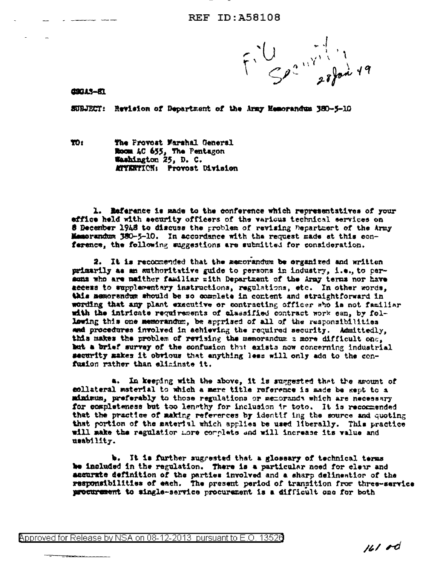$F: U$   $S^{2n}$   $\rightarrow$   $R^{2n+1}$ 

**CSGAS-81** 

SUBJECT: Revision of Department of the Army Memorandum 380-5-10

**YO:** The Provost Marshal General Room AC 655, The Pentagon Washington 25, D. C. MITERTICN: Provost Division

1. Esference is made to the conference which representatives of your effice held with security officers of the various technical services on 8 December 1948 to discuss the problem of revising Department of the Army Memorandum 380-5-10. In accordance with the request made at this conference, the following suggestions are submitted for consideration.

2. It is recommended that the memorandum be organized and written primarily as an authoritative guide to persons in industry, i.e., to persons who are neither familiar with Department of the Army terms nor have access to supplementary instructions, regulations, etc. In other words. this memorandum should be so complete in content and straightforward in wording that any plant executive or contracting officer who is not familiar with the intricate requirements of alssaified contract work can, by following this one memorandum, be apprised of all of the responsibilities and procedures involved in achieving the required security. Admittedly, this makes the problem of revising the memorandum a more difficult one. but a brief survey of the confusion that exists now concerning industrial security makes it obvious that anything less will only add to the confusion rather than eliminate it.

a. In keeping with the above, it is suggested that the amount of collateral material to which a mere title reference is sade be gent to a minimum, preferably to those regulations or memorands which are necessary for completeness but too lengthy for inclusion ir toto. It is recommended that the practice of making references by identif ing the source and quoting that portion of the material which applies be used liberally. This practice will make the regulation more complete and will increase its value and usability.

b. It is further suggested that a glossary of technical terms be included in the regulation. There is a particular need for cleur and accurate definition of the parties involved and a sharp delineation of the responsibilities of each. The present period of transition from three-service procurement to single-service procurement is a difficult one for both

 $1610d$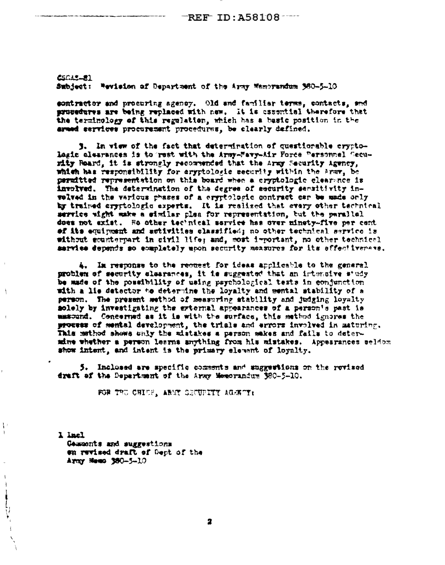CIGAS-21 Subject: Wevision of Department of the Army Wemprendum 980-5-10

contractor and procuring agency. Old and familiar terms, contacts, and procedures are being replaced with new. It is assential therefore that the terminology of this regulation, which has a basic position in the armed services procurement procedures, be clearly defined.

3. In view of the fact that determination of questionable cryptolagic elearances is to rest with the Army-Mavy-Air Force Personnel Security Reard, it is strongly recommended that the Army Security Agency, which has responsibility for aryptologic security within the Army, be permitted representation on this board when a cryptologic clearance is involved. The determination of the degree of security sensitivity invalved in the various phases of a cryptologic contract car be made only by trained ary tologic experts. It is realized that every other technical service wight make a similar plea for representation, but the parallel does not exist. He other technical service has over minety-five per cent of its equipment and activities classified; no other technical service is without sounterpart in sivil life; and, most important, no other technical sarvice depends so completely upon security measures for its effectivenese.

4. In response to the recusst for ideas applicable to the general problem of security clasrances, it is suggested that an intensive study be made of the possibility of using psychological tests in conjunction with a lis detector to determine the loyalty and mental stability of a person. The present sethod of measuring stability and judging loyalty solely by investigating the estornal appearances of a person's past is masound. Cencerned as it is with the surface, this method ignores the prosses of mental development, the trials and errors involved in maturing. This method shows only the mistakes a person makes and fails to determine whether a person learns anything from his mistakes. Appearances seldom show intent, and intent is the primary elevent of loyalty.

5. Inclosed are specific comments and suggestions on the revised draft of the Department of the Army Memorandum 380-5-10.

FOR THE CHICF, AREY SECURITY AGENCY:

1 lasl Commonts and suggestions on revised draft of Dept of the Army Hemo 380-5-10

 $\frac{1}{2}$ 

 $\mathbf{1}$ 

 $\overline{\mathbf{r}}$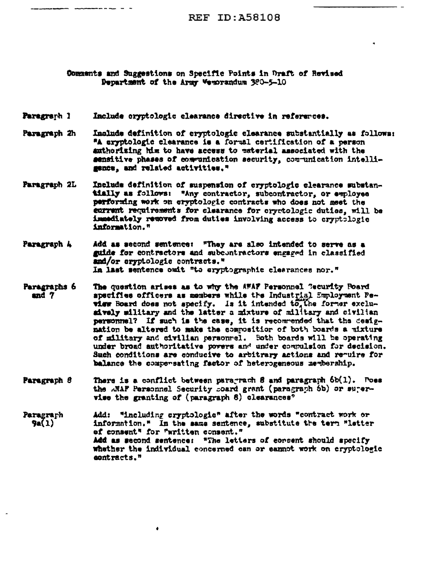Commants and Suggestions on Specific Points in Draft of Revised Department of the Army Vemorandum 300-5-10

## Paragraph 1 Include oryptologic clearance directive in references.

------

- Include definition of cryptologic clearance substantially as follows: Paragraph 2h "A eryptologic clearance is a formal certification of a person authorising him to have access to paterial associated with the sansitive phases of communication security, communication intelligence, and related activities."
- Include definition of suspension of cryptologic clearance substan-Paragraph 2L tially as follows: "Any contractor, subcontractor, or employee performing work on cryptologic contracts who does not meet the carrent requirements for clearance for cryptologic duties, will be immediately removed from duties involving access to cryptologic information."
- Add as second sentence: "They are also intended to serve as a Paragraph 4 guide for contractors and subcontractors engaged in classified and/or cryptologic contracts." In last sentence ouit "to eryptographic clearances nor."
- Paragraphs 6 The question arises as to why the AWAF Personnel Gecurity Poard and 7 apscifies officers as members while the Industrial Employment Peview Board does not specify. Is it intended to the former exclusively military and the latter a mixture of military and civilian personnel? If such is the case, it is recommended that the designation be altered to make the compositior of both boards a mixture of military and civilian personnel. Soth boards will be operating under broad authoritative povers and under compulsion for decision. Such conditions are conducive to arbitrary actions and require for balance the compensating factor of heterogeneous memberahip.
- Paragraph 8 There is a conflict between paragrach 8 and paragraph  $6b(1)$ . Poes the ANAP Personnel Security soard grant (paragraph 6b) or surervise the granting of (paragraph 6) clearances<sup>o</sup>

Add: "including cryptologic" after the words "contract work or Paragrarh  $9a(1)$ information." In the same sentence, substitute the term "letter of consent" for "written consent." Add as second sentence: "The letters of consent should specify whether the individual concerned can or earnot work on cryptologic contracts."

 $\bullet$